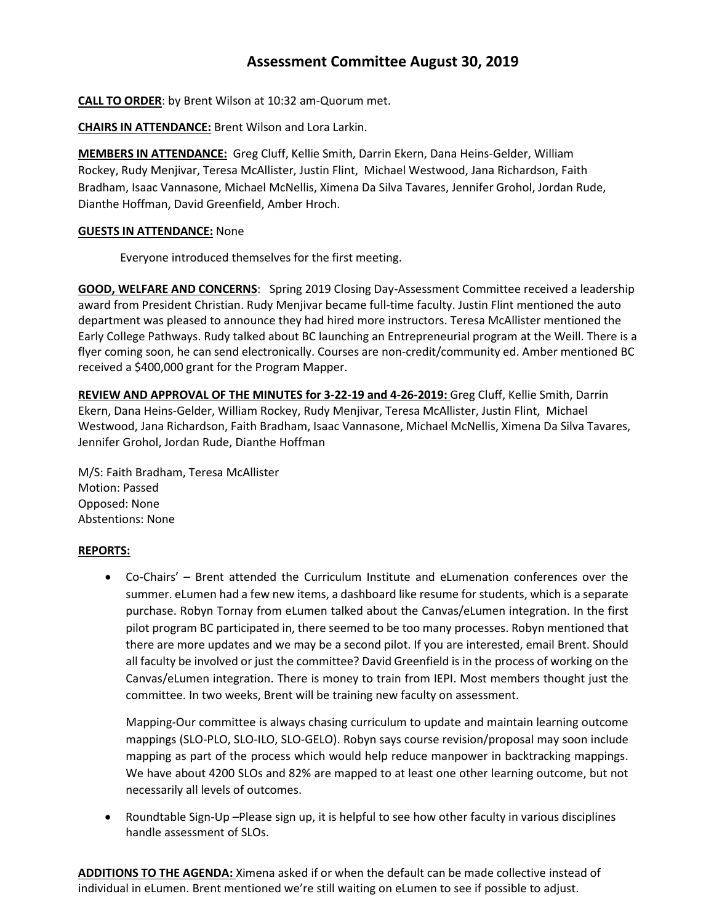# **Assessment Committee August 30, 2019**

**CALL TO ORDER**: by Brent Wilson at 10:32 am-Quorum met.

**CHAIRS IN ATTENDANCE:** Brent Wilson and Lora Larkin.

**MEMBERS IN ATTENDANCE:** Greg Cluff, Kellie Smith, Darrin Ekern, Dana Heins-Gelder, William Rockey, Rudy Menjivar, Teresa McAllister, Justin Flint, Michael Westwood, Jana Richardson, Faith Bradham, Isaac Vannasone, Michael McNellis, Ximena Da Silva Tavares, Jennifer Grohol, Jordan Rude, Dianthe Hoffman, David Greenfield, Amber Hroch.

## **GUESTS IN ATTENDANCE:** None

Everyone introduced themselves for the first meeting.

**GOOD, WELFARE AND CONCERNS**: Spring 2019 Closing Day-Assessment Committee received a leadership award from President Christian. Rudy Menjivar became full-time faculty. Justin Flint mentioned the auto department was pleased to announce they had hired more instructors. Teresa McAllister mentioned the Early College Pathways. Rudy talked about BC launching an Entrepreneurial program at the Weill. There is a flyer coming soon, he can send electronically. Courses are non-credit/community ed. Amber mentioned BC received a \$400,000 grant for the Program Mapper.

**REVIEW AND APPROVAL OF THE MINUTES for 3-22-19 and 4-26-2019:** Greg Cluff, Kellie Smith, Darrin Ekern, Dana Heins-Gelder, William Rockey, Rudy Menjivar, Teresa McAllister, Justin Flint, Michael Westwood, Jana Richardson, Faith Bradham, Isaac Vannasone, Michael McNellis, Ximena Da Silva Tavares, Jennifer Grohol, Jordan Rude, Dianthe Hoffman

M/S: Faith Bradham, Teresa McAllister Motion: Passed Opposed: None Abstentions: None

# **REPORTS:**

 Co-Chairs' – Brent attended the Curriculum Institute and eLumenation conferences over the summer. eLumen had a few new items, a dashboard like resume for students, which is a separate purchase. Robyn Tornay from eLumen talked about the Canvas/eLumen integration. In the first pilot program BC participated in, there seemed to be too many processes. Robyn mentioned that there are more updates and we may be a second pilot. If you are interested, email Brent. Should all faculty be involved or just the committee? David Greenfield is in the process of working on the Canvas/eLumen integration. There is money to train from IEPI. Most members thought just the committee. In two weeks, Brent will be training new faculty on assessment.

Mapping-Our committee is always chasing curriculum to update and maintain learning outcome mappings (SLO-PLO, SLO-ILO, SLO-GELO). Robyn says course revision/proposal may soon include mapping as part of the process which would help reduce manpower in backtracking mappings. We have about 4200 SLOs and 82% are mapped to at least one other learning outcome, but not necessarily all levels of outcomes.

• Roundtable Sign-Up –Please sign up, it is helpful to see how other faculty in various disciplines handle assessment of SLOs.

**ADDITIONS TO THE AGENDA:** Ximena asked if or when the default can be made collective instead of individual in eLumen. Brent mentioned we're still waiting on eLumen to see if possible to adjust.